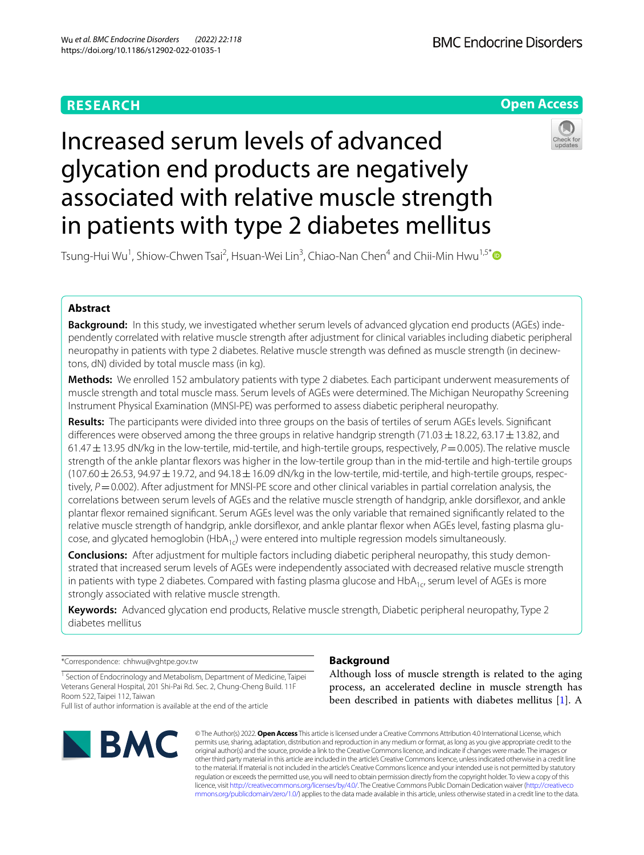# **RESEARCH**

**BMC Endocrine Disorders** 



# Increased serum levels of advanced glycation end products are negatively associated with relative muscle strength in patients with type 2 diabetes mellitus



Tsung‑Hui Wu1 , Shiow‑Chwen Tsai2 , Hsuan‑Wei Lin<sup>3</sup> , Chiao‑Nan Chen4 and Chii‑Min Hwu1,5[\\*](http://orcid.org/0000-0002-8209-9627) 

# **Abstract**

Background: In this study, we investigated whether serum levels of advanced glycation end products (AGEs) independently correlated with relative muscle strength after adjustment for clinical variables including diabetic peripheral neuropathy in patients with type 2 diabetes. Relative muscle strength was defined as muscle strength (in decinewtons, dN) divided by total muscle mass (in kg).

**Methods:** We enrolled 152 ambulatory patients with type 2 diabetes. Each participant underwent measurements of muscle strength and total muscle mass. Serum levels of AGEs were determined. The Michigan Neuropathy Screening Instrument Physical Examination (MNSI-PE) was performed to assess diabetic peripheral neuropathy.

**Results:** The participants were divided into three groups on the basis of tertiles of serum AGEs levels. Signifcant differences were observed among the three groups in relative handgrip strength (71.03  $\pm$  18.22, 63.17  $\pm$  13.82, and 61.47±13.95 dN/kg in the low-tertile, mid-tertile, and high-tertile groups, respectively, *P*=0.005). The relative muscle strength of the ankle plantar fexors was higher in the low-tertile group than in the mid-tertile and high-tertile groups  $(107.60 \pm 26.53, 94.97 \pm 19.72,$  and  $94.18 \pm 16.09$  dN/kg in the low-tertile, mid-tertile, and high-tertile groups, respectively,  $P=0.002$ ). After adjustment for MNSI-PE score and other clinical variables in partial correlation analysis, the correlations between serum levels of AGEs and the relative muscle strength of handgrip, ankle dorsifexor, and ankle plantar fexor remained signifcant. Serum AGEs level was the only variable that remained signifcantly related to the relative muscle strength of handgrip, ankle dorsiflexor, and ankle plantar flexor when AGEs level, fasting plasma glucose, and glycated hemoglobin  $(HDA_{1c})$  were entered into multiple regression models simultaneously.

**Conclusions:** After adjustment for multiple factors including diabetic peripheral neuropathy, this study demonstrated that increased serum levels of AGEs were independently associated with decreased relative muscle strength in patients with type 2 diabetes. Compared with fasting plasma glucose and  $HDA_{1c}$ , serum level of AGEs is more strongly associated with relative muscle strength.

**Keywords:** Advanced glycation end products, Relative muscle strength, Diabetic peripheral neuropathy, Type 2 diabetes mellitus

\*Correspondence: chhwu@vghtpe.gov.tw

<sup>1</sup> Section of Endocrinology and Metabolism, Department of Medicine, Taipei Veterans General Hospital, 201 Shi‑Pai Rd. Sec. 2, Chung‑Cheng Build. 11F Room 522, Taipei 112, Taiwan

Full list of author information is available at the end of the article



# **Background**

Although loss of muscle strength is related to the aging process, an accelerated decline in muscle strength has been described in patients with diabetes mellitus [[1\]](#page-7-0). A

© The Author(s) 2022. **Open Access** This article is licensed under a Creative Commons Attribution 4.0 International License, which permits use, sharing, adaptation, distribution and reproduction in any medium or format, as long as you give appropriate credit to the original author(s) and the source, provide a link to the Creative Commons licence, and indicate if changes were made. The images or other third party material in this article are included in the article's Creative Commons licence, unless indicated otherwise in a credit line to the material. If material is not included in the article's Creative Commons licence and your intended use is not permitted by statutory regulation or exceeds the permitted use, you will need to obtain permission directly from the copyright holder. To view a copy of this licence, visit [http://creativecommons.org/licenses/by/4.0/.](http://creativecommons.org/licenses/by/4.0/) The Creative Commons Public Domain Dedication waiver ([http://creativeco](http://creativecommons.org/publicdomain/zero/1.0/) [mmons.org/publicdomain/zero/1.0/](http://creativecommons.org/publicdomain/zero/1.0/)) applies to the data made available in this article, unless otherwise stated in a credit line to the data.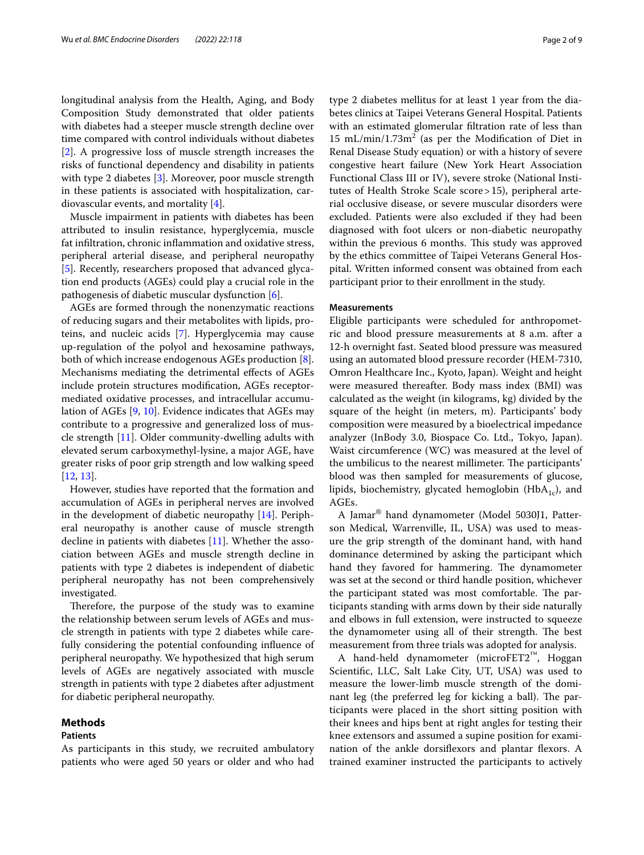longitudinal analysis from the Health, Aging, and Body Composition Study demonstrated that older patients with diabetes had a steeper muscle strength decline over time compared with control individuals without diabetes [[2\]](#page-7-1). A progressive loss of muscle strength increases the risks of functional dependency and disability in patients with type 2 diabetes [\[3](#page-8-0)]. Moreover, poor muscle strength in these patients is associated with hospitalization, cardiovascular events, and mortality [[4\]](#page-8-1).

Muscle impairment in patients with diabetes has been attributed to insulin resistance, hyperglycemia, muscle fat infltration, chronic infammation and oxidative stress, peripheral arterial disease, and peripheral neuropathy [[5\]](#page-8-2). Recently, researchers proposed that advanced glycation end products (AGEs) could play a crucial role in the pathogenesis of diabetic muscular dysfunction [\[6](#page-8-3)].

AGEs are formed through the nonenzymatic reactions of reducing sugars and their metabolites with lipids, proteins, and nucleic acids [\[7](#page-8-4)]. Hyperglycemia may cause up-regulation of the polyol and hexosamine pathways, both of which increase endogenous AGEs production [\[8](#page-8-5)]. Mechanisms mediating the detrimental efects of AGEs include protein structures modifcation, AGEs receptormediated oxidative processes, and intracellular accumulation of AGEs [[9,](#page-8-6) [10](#page-8-7)]. Evidence indicates that AGEs may contribute to a progressive and generalized loss of muscle strength [\[11](#page-8-8)]. Older community-dwelling adults with elevated serum carboxymethyl-lysine, a major AGE, have greater risks of poor grip strength and low walking speed [[12,](#page-8-9) [13](#page-8-10)].

However, studies have reported that the formation and accumulation of AGEs in peripheral nerves are involved in the development of diabetic neuropathy [\[14](#page-8-11)]. Peripheral neuropathy is another cause of muscle strength decline in patients with diabetes [\[11\]](#page-8-8). Whether the association between AGEs and muscle strength decline in patients with type 2 diabetes is independent of diabetic peripheral neuropathy has not been comprehensively investigated.

Therefore, the purpose of the study was to examine the relationship between serum levels of AGEs and muscle strength in patients with type 2 diabetes while carefully considering the potential confounding infuence of peripheral neuropathy. We hypothesized that high serum levels of AGEs are negatively associated with muscle strength in patients with type 2 diabetes after adjustment for diabetic peripheral neuropathy.

## **Methods**

# **Patients**

As participants in this study, we recruited ambulatory patients who were aged 50 years or older and who had

type 2 diabetes mellitus for at least 1 year from the diabetes clinics at Taipei Veterans General Hospital. Patients with an estimated glomerular fltration rate of less than  $15 \text{ mL/min}/1.73 \text{m}^2$  (as per the Modification of Diet in Renal Disease Study equation) or with a history of severe congestive heart failure (New York Heart Association Functional Class III or IV), severe stroke (National Institutes of Health Stroke Scale score>15), peripheral arterial occlusive disease, or severe muscular disorders were excluded. Patients were also excluded if they had been diagnosed with foot ulcers or non-diabetic neuropathy within the previous 6 months. This study was approved by the ethics committee of Taipei Veterans General Hospital. Written informed consent was obtained from each participant prior to their enrollment in the study.

#### **Measurements**

Eligible participants were scheduled for anthropometric and blood pressure measurements at 8 a.m. after a 12-h overnight fast. Seated blood pressure was measured using an automated blood pressure recorder (HEM-7310, Omron Healthcare Inc., Kyoto, Japan). Weight and height were measured thereafter. Body mass index (BMI) was calculated as the weight (in kilograms, kg) divided by the square of the height (in meters, m). Participants' body composition were measured by a bioelectrical impedance analyzer (InBody 3.0, Biospace Co. Ltd., Tokyo, Japan). Waist circumference (WC) was measured at the level of the umbilicus to the nearest millimeter. The participants' blood was then sampled for measurements of glucose, lipids, biochemistry, glycated hemoglobin (HbA<sub>1c</sub>), and AGEs.

A Jamar® hand dynamometer (Model 5030J1, Patterson Medical, Warrenville, IL, USA) was used to measure the grip strength of the dominant hand, with hand dominance determined by asking the participant which hand they favored for hammering. The dynamometer was set at the second or third handle position, whichever the participant stated was most comfortable. The participants standing with arms down by their side naturally and elbows in full extension, were instructed to squeeze the dynamometer using all of their strength. The best measurement from three trials was adopted for analysis.

A hand-held dynamometer (microFET2™, Hoggan Scientifc, LLC, Salt Lake City, UT, USA) was used to measure the lower-limb muscle strength of the dominant leg (the preferred leg for kicking a ball). The participants were placed in the short sitting position with their knees and hips bent at right angles for testing their knee extensors and assumed a supine position for examination of the ankle dorsifexors and plantar fexors. A trained examiner instructed the participants to actively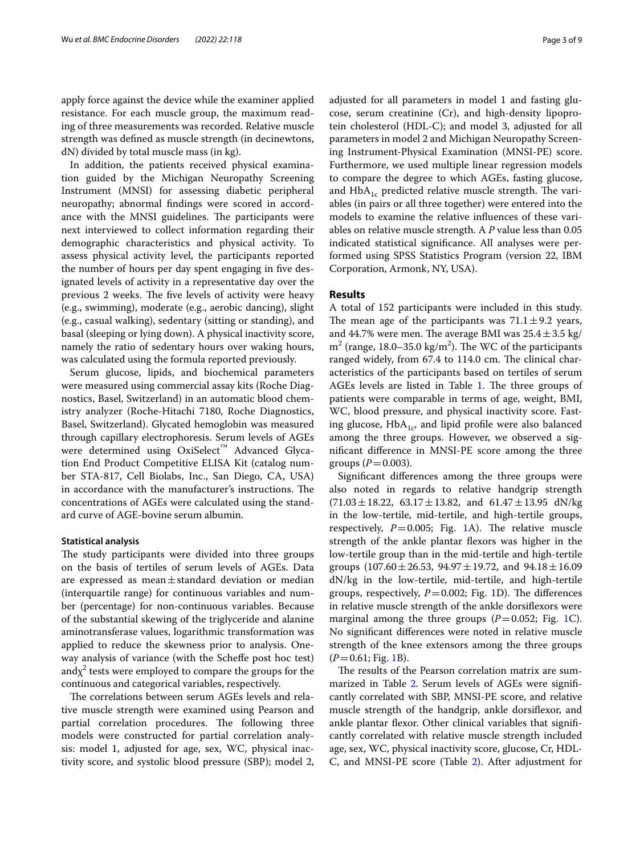apply force against the device while the examiner applied resistance. For each muscle group, the maximum reading of three measurements was recorded. Relative muscle strength was defned as muscle strength (in decinewtons, dN) divided by total muscle mass (in kg).

In addition, the patients received physical examination guided by the Michigan Neuropathy Screening Instrument (MNSI) for assessing diabetic peripheral neuropathy; abnormal fndings were scored in accordance with the MNSI guidelines. The participants were next interviewed to collect information regarding their demographic characteristics and physical activity. To assess physical activity level, the participants reported the number of hours per day spent engaging in five designated levels of activity in a representative day over the previous 2 weeks. The five levels of activity were heavy (e.g., swimming), moderate (e.g., aerobic dancing), slight (e.g., casual walking), sedentary (sitting or standing), and basal (sleeping or lying down). A physical inactivity score, namely the ratio of sedentary hours over waking hours, was calculated using the formula reported previously.

Serum glucose, lipids, and biochemical parameters were measured using commercial assay kits (Roche Diagnostics, Basel, Switzerland) in an automatic blood chemistry analyzer (Roche-Hitachi 7180, Roche Diagnostics, Basel, Switzerland). Glycated hemoglobin was measured through capillary electrophoresis. Serum levels of AGEs were determined using OxiSelect™ Advanced Glycation End Product Competitive ELISA Kit (catalog number STA-817, Cell Biolabs, Inc., San Diego, CA, USA) in accordance with the manufacturer's instructions. The concentrations of AGEs were calculated using the standard curve of AGE-bovine serum albumin.

## **Statistical analysis**

The study participants were divided into three groups on the basis of tertiles of serum levels of AGEs. Data are expressed as mean $\pm$ standard deviation or median (interquartile range) for continuous variables and number (percentage) for non-continuous variables. Because of the substantial skewing of the triglyceride and alanine aminotransferase values, logarithmic transformation was applied to reduce the skewness prior to analysis. Oneway analysis of variance (with the Scheffe post hoc test) and $\chi^2$  tests were employed to compare the groups for the continuous and categorical variables, respectively.

The correlations between serum AGEs levels and relative muscle strength were examined using Pearson and partial correlation procedures. The following three models were constructed for partial correlation analysis: model 1, adjusted for age, sex, WC, physical inactivity score, and systolic blood pressure (SBP); model 2,

adjusted for all parameters in model 1 and fasting glucose, serum creatinine (Cr), and high-density lipoprotein cholesterol (HDL-C); and model 3, adjusted for all parameters in model 2 and Michigan Neuropathy Screening Instrument-Physical Examination (MNSI-PE) score. Furthermore, we used multiple linear regression models to compare the degree to which AGEs, fasting glucose, and  $HbA_{1c}$  predicted relative muscle strength. The variables (in pairs or all three together) were entered into the models to examine the relative infuences of these variables on relative muscle strength. A *P* value less than 0.05 indicated statistical signifcance. All analyses were performed using SPSS Statistics Program (version 22, IBM Corporation, Armonk, NY, USA).

### **Results**

A total of 152 participants were included in this study. The mean age of the participants was  $71.1 \pm 9.2$  years, and 44.7% were men. The average BMI was  $25.4 \pm 3.5$  kg/  $m<sup>2</sup>$  (range, 18.0–35.0 kg/m<sup>2</sup>). The WC of the participants ranged widely, from 67.4 to 114.0 cm. The clinical characteristics of the participants based on tertiles of serum AGEs levels are listed in Table  $1$ . The three groups of patients were comparable in terms of age, weight, BMI, WC, blood pressure, and physical inactivity score. Fasting glucose,  $HbA_{1c}$ , and lipid profile were also balanced among the three groups. However, we observed a signifcant diference in MNSI-PE score among the three groups  $(P = 0.003)$ .

Signifcant diferences among the three groups were also noted in regards to relative handgrip strength  $(71.03 \pm 18.22, 63.17 \pm 13.82,$  and  $61.47 \pm 13.95$  dN/kg in the low-tertile, mid-tertile, and high-tertile groups, respectively,  $P=0.005$ ; Fig. [1](#page-4-0)A). The relative muscle strength of the ankle plantar fexors was higher in the low-tertile group than in the mid-tertile and high-tertile groups  $(107.60 \pm 26.53, 94.97 \pm 19.72,$  and  $94.18 \pm 16.09$ dN/kg in the low-tertile, mid-tertile, and high-tertile groups, respectively,  $P=0.002$ ; Fig. [1](#page-4-0)D). The differences in relative muscle strength of the ankle dorsifexors were marginal among the three groups  $(P=0.052;$  Fig. [1](#page-4-0)C). No signifcant diferences were noted in relative muscle strength of the knee extensors among the three groups  $(P=0.61; Fig. 1B).$  $(P=0.61; Fig. 1B).$  $(P=0.61; Fig. 1B).$ 

The results of the Pearson correlation matrix are sum-marized in Table [2.](#page-5-0) Serum levels of AGEs were significantly correlated with SBP, MNSI-PE score, and relative muscle strength of the handgrip, ankle dorsifexor, and ankle plantar flexor. Other clinical variables that significantly correlated with relative muscle strength included age, sex, WC, physical inactivity score, glucose, Cr, HDL-C, and MNSI-PE score (Table [2\)](#page-5-0). After adjustment for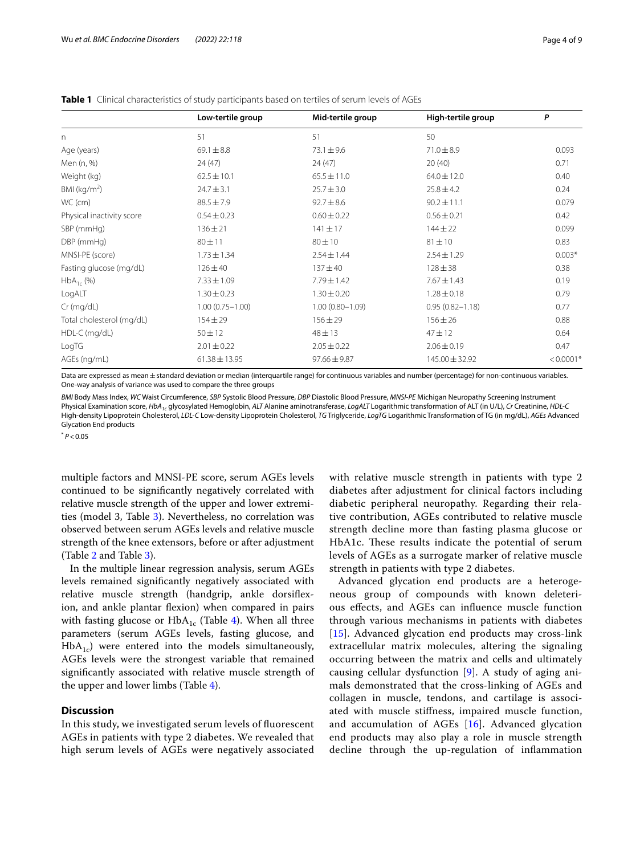<span id="page-3-0"></span>

|                           | Low-tertile group   | Mid-tertile group   | High-tertile group  | P           |
|---------------------------|---------------------|---------------------|---------------------|-------------|
| $\Gamma$                  | 51                  | 51                  | 50                  |             |
| Age (years)               | $69.1 \pm 8.8$      | $73.1 \pm 9.6$      | $71.0 \pm 8.9$      | 0.093       |
| Men (n, %)                | 24(47)              | 24(47)              | 20(40)              | 0.71        |
| Weight (kg)               | $62.5 \pm 10.1$     | $65.5 \pm 11.0$     | $64.0 \pm 12.0$     | 0.40        |
| BMI ( $kg/m2$ )           | $24.7 \pm 3.1$      | $25.7 \pm 3.0$      | $25.8 \pm 4.2$      | 0.24        |
| WC (cm)                   | $88.5 \pm 7.9$      | $92.7 \pm 8.6$      | $90.2 \pm 11.1$     | 0.079       |
| Physical inactivity score | $0.54 \pm 0.23$     | $0.60 \pm 0.22$     | $0.56 \pm 0.21$     | 0.42        |
| SBP (mmHg)                | $136 \pm 21$        | $141 \pm 17$        | $144 \pm 22$        | 0.099       |
| DBP (mmHg)                | $80 + 11$           | $80 + 10$           | $81 \pm 10$         | 0.83        |
| MNSI-PE (score)           | $1.73 \pm 1.34$     | $2.54 \pm 1.44$     | $2.54 \pm 1.29$     | $0.003*$    |
| Fasting glucose (mg/dL)   | $126 \pm 40$        | $137 + 40$          | $128 \pm 38$        | 0.38        |
| $HbA_{1c}$ (%)            | $7.33 \pm 1.09$     | $7.79 \pm 1.42$     | $7.67 \pm 1.43$     | 0.19        |
| LogALT                    | $1.30 \pm 0.23$     | $1.30 \pm 0.20$     | $1.28 \pm 0.18$     | 0.79        |
| $Cr$ (mg/dL)              | $1.00(0.75 - 1.00)$ | $1.00(0.80 - 1.09)$ | $0.95(0.82 - 1.18)$ | 0.77        |
| Total cholesterol (mg/dL) | $154 \pm 29$        | $156 \pm 29$        | $156 \pm 26$        | 0.88        |
| HDL-C (mg/dL)             | $50 \pm 12$         | $48 + 13$           | $47 + 12$           | 0.64        |
| LogTG                     | $2.01 \pm 0.22$     | $2.05 \pm 0.22$     | $2.06 \pm 0.19$     | 0.47        |
| AGEs (ng/mL)              | $61.38 \pm 13.95$   | $97.66 \pm 9.87$    | $145.00 \pm 32.92$  | $< 0.0001*$ |

Data are expressed as mean ±standard deviation or median (interquartile range) for continuous variables and number (percentage) for non-continuous variables. One-way analysis of variance was used to compare the three groups

*BMI* Body Mass Index, *WC* Waist Circumference, *SBP* Systolic Blood Pressure, *DBP* Diastolic Blood Pressure, *MNSI-PE* Michigan Neuropathy Screening Instrument Physical Examination score, *HbA1c* glycosylated Hemoglobin, *ALT* Alanine aminotransferase, *LogALT* Logarithmic transformation of ALT (in U/L), *Cr* Creatinine, *HDL-C* High-density Lipoprotein Cholesterol, *LDL-C* Low-density Lipoprotein Cholesterol, *TG* Triglyceride, *LogTG* Logarithmic Transformation of TG (in mg/dL), *AGEs* Advanced Glycation End products

 $*$   $P < 0.05$ 

multiple factors and MNSI-PE score, serum AGEs levels continued to be signifcantly negatively correlated with relative muscle strength of the upper and lower extremities (model 3, Table [3\)](#page-6-0). Nevertheless, no correlation was observed between serum AGEs levels and relative muscle strength of the knee extensors, before or after adjustment (Table [2](#page-5-0) and Table [3\)](#page-6-0).

In the multiple linear regression analysis, serum AGEs levels remained signifcantly negatively associated with relative muscle strength (handgrip, ankle dorsifexion, and ankle plantar fexion) when compared in pairs with fasting glucose or  $HbA_{1c}$  (Table [4\)](#page-7-2). When all three parameters (serum AGEs levels, fasting glucose, and  $HbA_{1c}$ ) were entered into the models simultaneously, AGEs levels were the strongest variable that remained signifcantly associated with relative muscle strength of the upper and lower limbs (Table [4\)](#page-7-2).

# **Discussion**

In this study, we investigated serum levels of fuorescent AGEs in patients with type 2 diabetes. We revealed that high serum levels of AGEs were negatively associated with relative muscle strength in patients with type 2 diabetes after adjustment for clinical factors including diabetic peripheral neuropathy. Regarding their relative contribution, AGEs contributed to relative muscle strength decline more than fasting plasma glucose or HbA1c. These results indicate the potential of serum levels of AGEs as a surrogate marker of relative muscle strength in patients with type 2 diabetes.

Advanced glycation end products are a heterogeneous group of compounds with known deleterious efects, and AGEs can infuence muscle function through various mechanisms in patients with diabetes [[15](#page-8-12)]. Advanced glycation end products may cross-link extracellular matrix molecules, altering the signaling occurring between the matrix and cells and ultimately causing cellular dysfunction [[9\]](#page-8-6). A study of aging animals demonstrated that the cross-linking of AGEs and collagen in muscle, tendons, and cartilage is associated with muscle stifness, impaired muscle function, and accumulation of AGEs [[16](#page-8-13)]. Advanced glycation end products may also play a role in muscle strength decline through the up-regulation of infammation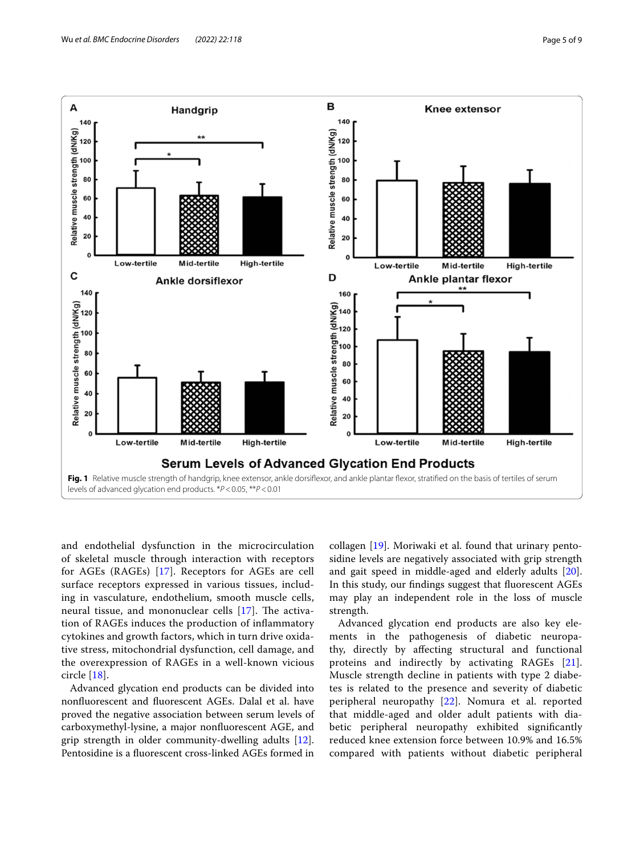

<span id="page-4-0"></span>and endothelial dysfunction in the microcirculation of skeletal muscle through interaction with receptors for AGEs (RAGEs) [[17](#page-8-14)]. Receptors for AGEs are cell surface receptors expressed in various tissues, including in vasculature, endothelium, smooth muscle cells, neural tissue, and mononuclear cells  $[17]$  $[17]$ . The activation of RAGEs induces the production of infammatory cytokines and growth factors, which in turn drive oxidative stress, mitochondrial dysfunction, cell damage, and the overexpression of RAGEs in a well-known vicious circle [\[18](#page-8-15)].

Advanced glycation end products can be divided into nonfuorescent and fuorescent AGEs. Dalal et al. have proved the negative association between serum levels of carboxymethyl-lysine, a major nonfuorescent AGE, and grip strength in older community-dwelling adults [\[12](#page-8-9)]. Pentosidine is a fuorescent cross-linked AGEs formed in collagen [\[19\]](#page-8-16). Moriwaki et al. found that urinary pentosidine levels are negatively associated with grip strength and gait speed in middle-aged and elderly adults [\[20](#page-8-17)]. In this study, our fndings suggest that fuorescent AGEs may play an independent role in the loss of muscle strength.

Advanced glycation end products are also key elements in the pathogenesis of diabetic neuropathy, directly by afecting structural and functional proteins and indirectly by activating RAGEs [[21](#page-8-18)]. Muscle strength decline in patients with type 2 diabetes is related to the presence and severity of diabetic peripheral neuropathy [[22\]](#page-8-19). Nomura et al. reported that middle-aged and older adult patients with diabetic peripheral neuropathy exhibited signifcantly reduced knee extension force between 10.9% and 16.5% compared with patients without diabetic peripheral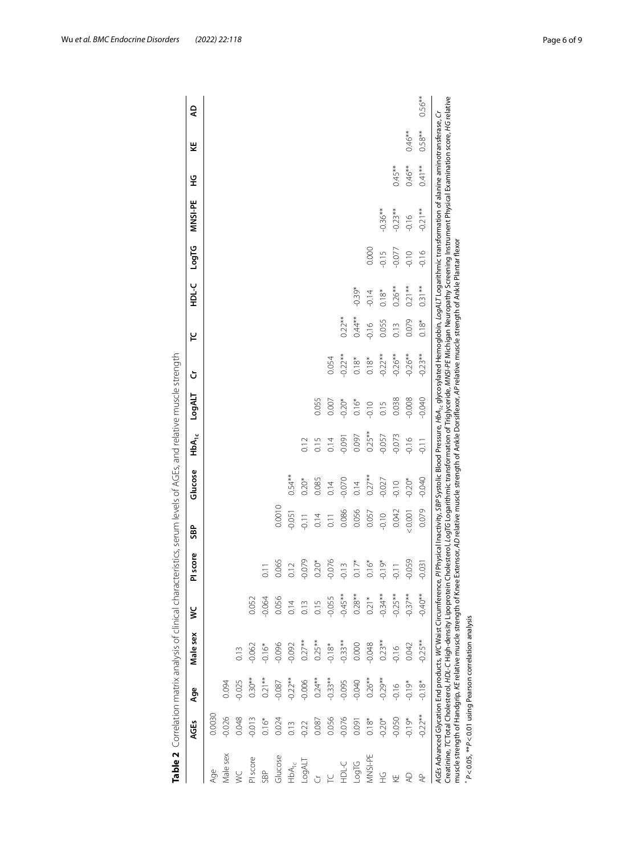| 0.0030<br>Age               |           |           |           |                  |          |          |               |          |           |          |           |          |            |           |          |          |
|-----------------------------|-----------|-----------|-----------|------------------|----------|----------|---------------|----------|-----------|----------|-----------|----------|------------|-----------|----------|----------|
|                             |           |           |           |                  |          |          |               |          |           |          |           |          |            |           |          |          |
| $-0.026$<br>Male sex        | 0.094     |           |           |                  |          |          |               |          |           |          |           |          |            |           |          |          |
| 0.048<br>¥                  | $-0.025$  |           |           |                  |          |          |               |          |           |          |           |          |            |           |          |          |
| $-0.013$<br>PI score        | $0.30**$  | $-0.062$  | 0.052     |                  |          |          |               |          |           |          |           |          |            |           |          |          |
| $0.16*$<br>SBP              | $0.21***$ | $-0.16*$  | $-0.064$  | $\overline{0}$ . |          |          |               |          |           |          |           |          |            |           |          |          |
| 0.024<br>Glucose            | $-0.087$  | $-0.096$  | 0.056     | 0.065            | 0.0010   |          |               |          |           |          |           |          |            |           |          |          |
| 0.13<br>$HbA_{1c}$          | $-0.22**$ | $-0.092$  | 0.14      | 0.12             | $-0.051$ | $0.54**$ |               |          |           |          |           |          |            |           |          |          |
| $-0.22$<br>LogALT           | $-0.006$  | $0.27***$ | 0.13      | $-0.079$         | $-0.11$  | $0.20*$  |               |          |           |          |           |          |            |           |          |          |
| 0.087                       | $0.24***$ | $0.25**$  | 0.15      | $0.20*$          | 0.14     | 0.085    | 0.15          | 0.055    |           |          |           |          |            |           |          |          |
| 0.056                       | $-0.33**$ | $-0.18*$  | $-0.055$  | $-0.076$         | 0.11     | 0.14     | 0.14          | 0.007    | 0.054     |          |           |          |            |           |          |          |
| $-0.076$<br>HDL-C           | $-0.095$  | $-0.33**$ | $-0.45**$ | $-0.13$          | 0.086    | $-0.070$ | $-0.091$      | $-0.20*$ | $-0.22**$ | $0.22**$ |           |          |            |           |          |          |
| 0.091<br><b>Dibon</b>       | $-0.040$  | 0.000     | $0.28**$  | $0.17*$          | 0.056    | 0.14     | 0.097         | $0.16*$  | $0.18*$   | $0.44**$ | $-0.39*$  |          |            |           |          |          |
| $0.18*$<br>MNSI-PE          | $0.26**$  | $-0.048$  | $0.21*$   | $0.16*$          | 0.057    | $0.27**$ | $0.25**$      | $-0.10$  | $0.18*$   | $-0.16$  | $-0.14$   | 0.000    |            |           |          |          |
| $-0.20*$<br>오<br>도          | $-0.29**$ | $0.23**$  | $-0.34**$ | $-0.19*$         | $-0.10$  | $-0.027$ | $-0.057$      | 0.15     | $-0.22**$ | 0.055    | $0.18*$   | $-0.15$  | $-0.36***$ |           |          |          |
| $-0.050$<br>ΚË              | $-0.16$   | $-0.16$   | $-0.25**$ | $\overline{0}$ . | 0.042    | $-0.10$  | $-0.073$      | 0.038    | $-0.26**$ | 0.13     | $0.26**$  | $-0.077$ | $-0.23**$  | $0.45***$ |          |          |
| $-0.19*$<br>$\overline{A}$  | $-0.19*$  | 0.042     | $-0.37**$ | $-0.059$         | 0.001    | $-0.20*$ | $-0.16$       | $-0.008$ | $-0.26**$ | 0.079    | $0.21***$ | $-0.10$  | $-0.16$    | $0.46**$  | $0.46**$ |          |
| $-0.22**$<br>$\overline{4}$ | $-0.18*$  | $-0.25**$ | $-0.40**$ | $-0.031$         | 0.079    | $-0.040$ | $\frac{1}{2}$ | $-0.040$ | $-0.23**$ | $0.18*$  | $0.31**$  | $-0.16$  | $-0.21**$  | $0.41**$  | $0.58**$ | $0.56**$ |

<span id="page-5-0"></span>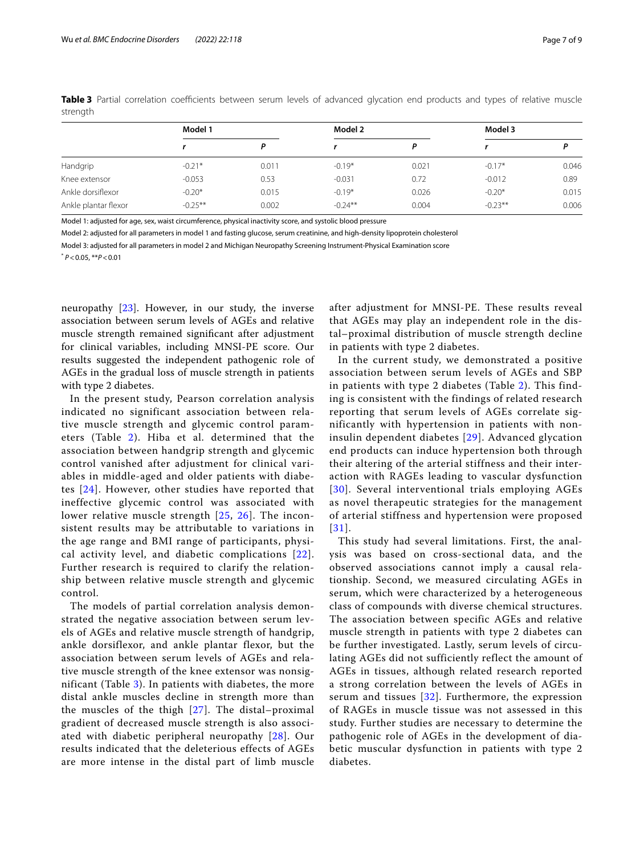|                      | Model 1    |       | Model 2    |       | Model 3   |       |
|----------------------|------------|-------|------------|-------|-----------|-------|
|                      |            |       |            |       |           |       |
| Handgrip             | $-0.21*$   | 0.011 | $-0.19*$   | 0.021 | $-0.17*$  | 0.046 |
| Knee extensor        | $-0.053$   | 0.53  | $-0.031$   | 0.72  | $-0.012$  | 0.89  |
| Ankle dorsiflexor    | $-0.20*$   | 0.015 | $-0.19*$   | 0.026 | $-0.20*$  | 0.015 |
| Ankle plantar flexor | $-0.25***$ | 0.002 | $-0.24***$ | 0.004 | $-0.23**$ | 0.006 |

<span id="page-6-0"></span>**Table 3** Partial correlation coefficients between serum levels of advanced glycation end products and types of relative muscle strength

Model 1: adjusted for age, sex, waist circumference, physical inactivity score, and systolic blood pressure

Model 2: adjusted for all parameters in model 1 and fasting glucose, serum creatinine, and high-density lipoprotein cholesterol

Model 3: adjusted for all parameters in model 2 and Michigan Neuropathy Screening Instrument-Physical Examination score

\* *P*<0.05, \*\**P*<0.01

neuropathy [\[23](#page-8-20)]. However, in our study, the inverse association between serum levels of AGEs and relative muscle strength remained signifcant after adjustment for clinical variables, including MNSI-PE score. Our results suggested the independent pathogenic role of AGEs in the gradual loss of muscle strength in patients with type 2 diabetes.

In the present study, Pearson correlation analysis indicated no significant association between relative muscle strength and glycemic control parameters (Table [2\)](#page-5-0). Hiba et al. determined that the association between handgrip strength and glycemic control vanished after adjustment for clinical variables in middle-aged and older patients with diabetes [[24\]](#page-8-21). However, other studies have reported that ineffective glycemic control was associated with lower relative muscle strength [\[25](#page-8-22), [26](#page-8-23)]. The inconsistent results may be attributable to variations in the age range and BMI range of participants, physical activity level, and diabetic complications [[22\]](#page-8-19). Further research is required to clarify the relationship between relative muscle strength and glycemic control.

The models of partial correlation analysis demonstrated the negative association between serum levels of AGEs and relative muscle strength of handgrip, ankle dorsiflexor, and ankle plantar flexor, but the association between serum levels of AGEs and relative muscle strength of the knee extensor was nonsignificant (Table [3\)](#page-6-0). In patients with diabetes, the more distal ankle muscles decline in strength more than the muscles of the thigh [\[27\]](#page-8-24). The distal–proximal gradient of decreased muscle strength is also associated with diabetic peripheral neuropathy [[28](#page-8-25)]. Our results indicated that the deleterious effects of AGEs are more intense in the distal part of limb muscle after adjustment for MNSI-PE. These results reveal that AGEs may play an independent role in the distal–proximal distribution of muscle strength decline in patients with type 2 diabetes.

In the current study, we demonstrated a positive association between serum levels of AGEs and SBP in patients with type 2 diabetes (Table [2\)](#page-5-0). This finding is consistent with the findings of related research reporting that serum levels of AGEs correlate significantly with hypertension in patients with noninsulin dependent diabetes [[29](#page-8-26)]. Advanced glycation end products can induce hypertension both through their altering of the arterial stiffness and their interaction with RAGEs leading to vascular dysfunction [[30\]](#page-8-27). Several interventional trials employing AGEs as novel therapeutic strategies for the management of arterial stiffness and hypertension were proposed [[31\]](#page-8-28).

This study had several limitations. First, the analysis was based on cross-sectional data, and the observed associations cannot imply a causal relationship. Second, we measured circulating AGEs in serum, which were characterized by a heterogeneous class of compounds with diverse chemical structures. The association between specific AGEs and relative muscle strength in patients with type 2 diabetes can be further investigated. Lastly, serum levels of circulating AGEs did not sufficiently reflect the amount of AGEs in tissues, although related research reported a strong correlation between the levels of AGEs in serum and tissues [\[32\]](#page-8-29). Furthermore, the expression of RAGEs in muscle tissue was not assessed in this study. Further studies are necessary to determine the pathogenic role of AGEs in the development of diabetic muscular dysfunction in patients with type 2 diabetes.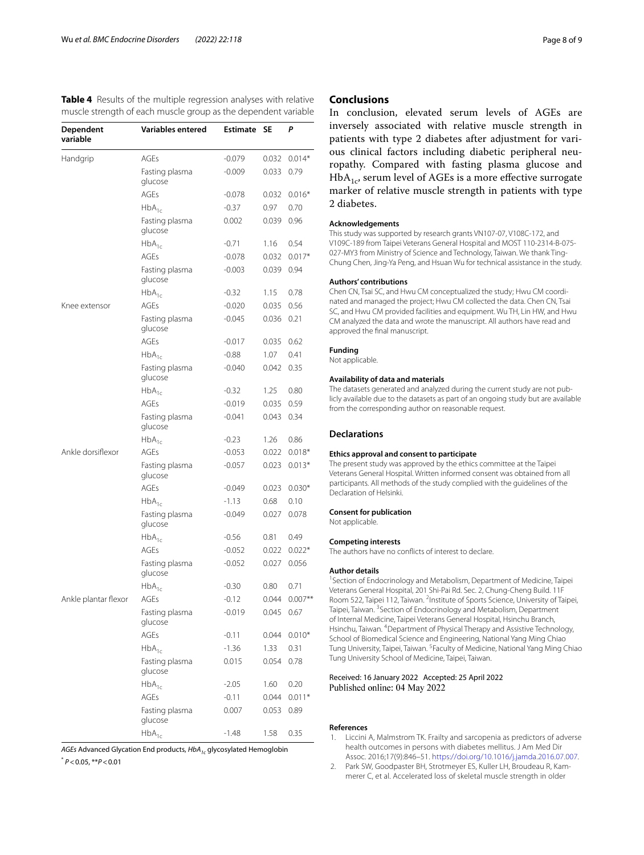<span id="page-7-2"></span>**Table 4** Results of the multiple regression analyses with relative muscle strength of each muscle group as the dependent variable

| Dependent<br>variable | <b>Variables entered</b>  | <b>Estimate</b> | SE    | P         |
|-----------------------|---------------------------|-----------------|-------|-----------|
| Handgrip              | AGEs                      | $-0.079$        | 0.032 | $0.014*$  |
|                       | Fasting plasma<br>glucose | $-0.009$        | 0.033 | 0.79      |
|                       | <b>AGEs</b>               | $-0.078$        | 0.032 | $0.016*$  |
|                       | $HbA_{1c}$                | $-0.37$         | 0.97  | 0.70      |
|                       | Fasting plasma<br>glucose | 0.002           | 0.039 | 0.96      |
|                       | $HbA_{1c}$                | $-0.71$         | 1.16  | 0.54      |
|                       | <b>AGEs</b>               | $-0.078$        | 0.032 | $0.017*$  |
|                       | Fasting plasma<br>glucose | $-0.003$        | 0.039 | 0.94      |
|                       | $HbA_{1c}$                | $-0.32$         | 1.15  | 0.78      |
| Knee extensor         | AGEs                      | $-0.020$        | 0.035 | 0.56      |
|                       | Fasting plasma<br>glucose | $-0.045$        | 0.036 | 0.21      |
|                       | <b>AGEs</b>               | $-0.017$        | 0.035 | 0.62      |
|                       | $HbA_{1c}$                | $-0.88$         | 1.07  | 0.41      |
|                       | Fasting plasma<br>glucose | $-0.040$        | 0.042 | 0.35      |
|                       | $HbA_{1c}$                | $-0.32$         | 1.25  | 0.80      |
|                       | AGEs                      | $-0.019$        | 0.035 | 0.59      |
|                       | Fasting plasma<br>glucose | $-0.041$        | 0.043 | 0.34      |
|                       | $HbA_{1c}$                | $-0.23$         | 1.26  | 0.86      |
| Ankle dorsiflexor     | AGEs                      | $-0.053$        | 0.022 | $0.018*$  |
|                       | Fasting plasma<br>glucose | $-0.057$        | 0.023 | $0.013*$  |
|                       | AGEs                      | $-0.049$        | 0.023 | $0.030*$  |
|                       | $HbA_{1c}$                | $-1.13$         | 0.68  | 0.10      |
|                       | Fasting plasma<br>glucose | $-0.049$        | 0.027 | 0.078     |
|                       | $HbA_{1c}$                | $-0.56$         | 0.81  | 0.49      |
|                       | <b>AGEs</b>               | $-0.052$        | 0.022 | $0.022*$  |
|                       | Fasting plasma<br>glucose | $-0.052$        | 0.027 | 0.056     |
|                       | $HbA_{1c}$                | $-0.30$         | 0.80  | 0.71      |
| Ankle plantar flexor  | AGEs                      | $-0.12$         | 0.044 | $0.007**$ |
|                       | Fasting plasma<br>glucose | $-0.019$        | 0.045 | 0.67      |
|                       | AGEs                      | $-0.11$         | 0.044 | $0.010*$  |
|                       | $HbA_{1c}$                | $-1.36$         | 1.33  | 0.31      |
|                       | Fasting plasma<br>glucose | 0.015           | 0.054 | 0.78      |
|                       | $HbA_{1c}$                | $-2.05$         | 1.60  | 0.20      |
|                       | AGEs                      | $-0.11$         | 0.044 | $0.011*$  |
|                       | Fasting plasma<br>glucose | 0.007           | 0.053 | 0.89      |
|                       | $HbA_{1c}$                | $-1.48$         | 1.58  | 0.35      |

*AGEs* Advanced Glycation End products, *HbA1c* glycosylated Hemoglobin \* *P*<0.05, \*\**P*<0.01

# **Conclusions**

In conclusion, elevated serum levels of AGEs are inversely associated with relative muscle strength in patients with type 2 diabetes after adjustment for various clinical factors including diabetic peripheral neuropathy. Compared with fasting plasma glucose and  $HbA_{1c}$ , serum level of AGEs is a more effective surrogate marker of relative muscle strength in patients with type 2 diabetes.

#### **Acknowledgements**

This study was supported by research grants VN107-07, V108C-172, and V109C-189 from Taipei Veterans General Hospital and MOST 110-2314-B-075-027-MY3 from Ministry of Science and Technology, Taiwan. We thank Ting-Chung Chen, Jing-Ya Peng, and Hsuan Wu for technical assistance in the study.

#### **Authors' contributions**

Chen CN, Tsai SC, and Hwu CM conceptualized the study; Hwu CM coordinated and managed the project; Hwu CM collected the data. Chen CN, Tsai SC, and Hwu CM provided facilities and equipment. Wu TH, Lin HW, and Hwu CM analyzed the data and wrote the manuscript. All authors have read and approved the fnal manuscript.

#### **Funding**

Not applicable.

# **Availability of data and materials**

The datasets generated and analyzed during the current study are not publicly available due to the datasets as part of an ongoing study but are available from the corresponding author on reasonable request.

#### **Declarations**

#### **Ethics approval and consent to participate**

The present study was approved by the ethics committee at the Taipei Veterans General Hospital. Written informed consent was obtained from all participants. All methods of the study complied with the guidelines of the Declaration of Helsinki.

#### **Consent for publication**

Not applicable.

#### **Competing interests**

The authors have no conficts of interest to declare.

#### **Author details**

<sup>1</sup> Section of Endocrinology and Metabolism, Department of Medicine, Taipei Veterans General Hospital, 201 Shi‑Pai Rd. Sec. 2, Chung‑Cheng Build. 11F Room 522, Taipei 112, Taiwan. <sup>2</sup>Institute of Sports Science, University of Taipei, Taipei, Taiwan. <sup>3</sup> Section of Endocrinology and Metabolism, Department of Internal Medicine, Taipei Veterans General Hospital, Hsinchu Branch, Hsinchu, Taiwan. <sup>4</sup> Department of Physical Therapy and Assistive Technology, School of Biomedical Science and Engineering, National Yang Ming Chiao Tung University, Taipei, Taiwan. <sup>5</sup> Faculty of Medicine, National Yang Ming Chiao Tung University School of Medicine, Taipei, Taiwan.

#### Received: 16 January 2022 Accepted: 25 April 2022 Published online: 04 May 2022

#### **References**

- <span id="page-7-0"></span>1. Liccini A, Malmstrom TK. Frailty and sarcopenia as predictors of adverse health outcomes in persons with diabetes mellitus. J Am Med Dir Assoc. 2016;17(9):846–51. <https://doi.org/10.1016/j.jamda.2016.07.007>.
- <span id="page-7-1"></span>2. Park SW, Goodpaster BH, Strotmeyer ES, Kuller LH, Broudeau R, Kammerer C, et al. Accelerated loss of skeletal muscle strength in older